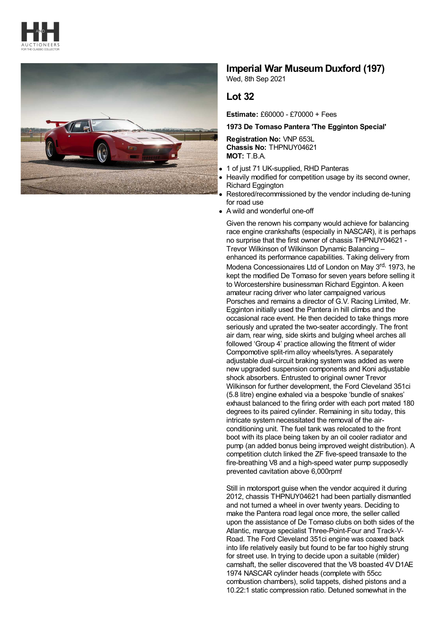



## **Imperial War Museum Duxford (197)**

Wed, 8th Sep 2021

## **Lot 32**

**Estimate:** £60000 - £70000 + Fees

## **1973 De Tomaso Pantera 'The Egginton Special'**

**Registration No:** VNP 653L **Chassis No:** THPNUY04621 **MOT:** T.B.A.

- 1 of just 71 UK-supplied, RHD Panteras
- Heavily modified for competition usage by its second owner, Richard Eggington
- Restored/recommissioned by the vendor including de-tuning for road use
- A wild and wonderful one-off

Given the renown his company would achieve for balancing race engine crankshafts (especially in NASCAR), it is perhaps no surprise that the first owner of chassis THPNUY04621 - Trevor Wilkinson of Wilkinson Dynamic Balancing – enhanced its performance capabilities. Taking delivery from

Modena Concessionaires Ltd of London on May 3<sup>rd,</sup> 1973, he kept the modified De Tomaso for seven years before selling it to Worcestershire businessman Richard Egginton. A keen amateur racing driver who later campaigned various Porsches and remains a director of G.V. Racing Limited, Mr. Egginton initially used the Pantera in hill climbs and the occasional race event. He then decided to take things more seriously and uprated the two-seater accordingly. The front air dam, rear wing, side skirts and bulging wheel arches all followed 'Group 4' practice allowing the fitment of wider Compomotive split-rim alloy wheels/tyres. A separately adjustable dual-circuit braking system was added as were new upgraded suspension components and Koni adjustable shock absorbers. Entrusted to original owner Trevor Wilkinson for further development, the Ford Cleveland 351ci (5.8 litre) engine exhaled via a bespoke 'bundle of snakes' exhaust balanced to the firing order with each port mated 180 degrees to its paired cylinder. Remaining in situ today, this intricate system necessitated the removal of the airconditioning unit. The fuel tank was relocated to the front boot with its place being taken by an oil cooler radiator and pump (an added bonus being improved weight distribution). A competition clutch linked the ZF five-speed transaxle to the fire-breathing V8 and a high-speed water pump supposedly prevented cavitation above 6,000rpm!

Still in motorsport quise when the vendor acquired it during 2012, chassis THPNUY04621 had been partially dismantled and not turned a wheel in over twenty years. Deciding to make the Pantera road legal once more, the seller called upon the assistance of De Tomaso clubs on both sides of the Atlantic, marque specialist Three-Point-Four and Track-V-Road. The Ford Cleveland 351ci engine was coaxed back into life relatively easily but found to be far too highly strung for street use. In trying to decide upon a suitable (milder) camshaft, the seller discovered that the V8 boasted 4V D1AE 1974 NASCAR cylinder heads (complete with 55cc combustion chambers), solid tappets, dished pistons and a 10.22:1 static compression ratio. Detuned somewhat in the